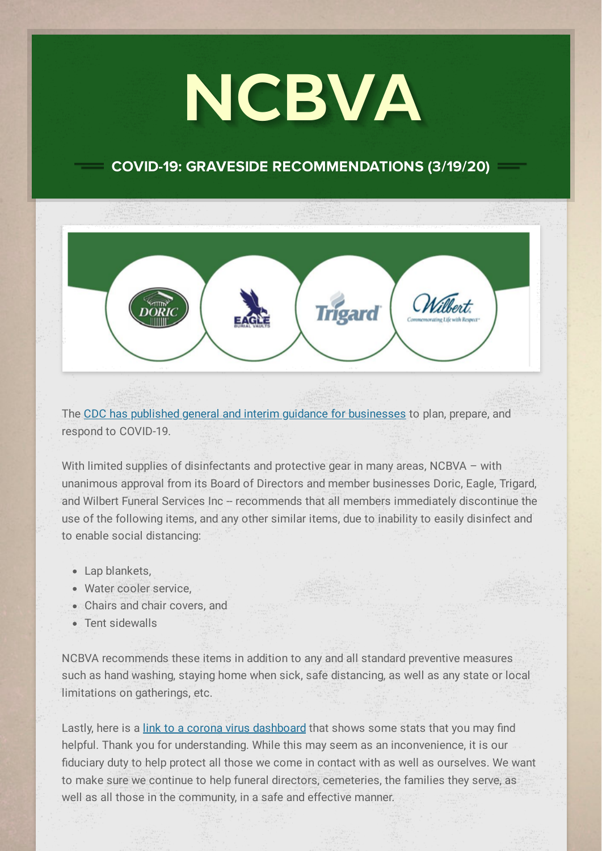# NCBVA

#### COVID-19: GRAVESIDE RECOMMENDATIONS (3/19/20)

**Trigard** 

Wilbert.

The CDC has published general and interim guidance for [businesses](https://cts.vresp.com/c/?NCBVA/d23875703d/5873fb3649/5c6e781ec9/WilbertGreenville/9e58f69376/TEST/62932c80d2) to plan, prepare, and respond to COVID-19.

With limited supplies of disinfectants and protective gear in many areas, NCBVA – with unanimous approval from its Board of Directors and member businesses Doric, Eagle, Trigard, and Wilbert Funeral Services Inc -- recommends that all members immediately discontinue the use of the following items, and any other similar items, due to inability to easily disinfect and to enable social distancing:

- Lap blankets,
- Water cooler service,
- Chairs and chair covers, and
- Tent sidewalls

NCBVA recommends these items in addition to any and all standard preventive measures such as hand washing, staying home when sick, safe distancing, as well as any state or local limitations on gatherings, etc.

Lastly, here is a link to a corona virus [dashboard](https://cts.vresp.com/c/?NCBVA/d23875703d/5873fb3649/f649d62e34/WilbertGreenville/9e58f69376/TEST/c26e1a4c32) that shows some stats that you may find helpful. Thank you for understanding. While this may seem as an inconvenience, it is our fiduciary duty to help protect all those we come in contact with as well as ourselves. We want to make sure we continue to help funeral directors, cemeteries, the families they serve, as well as all those in the community, in a safe and effective manner.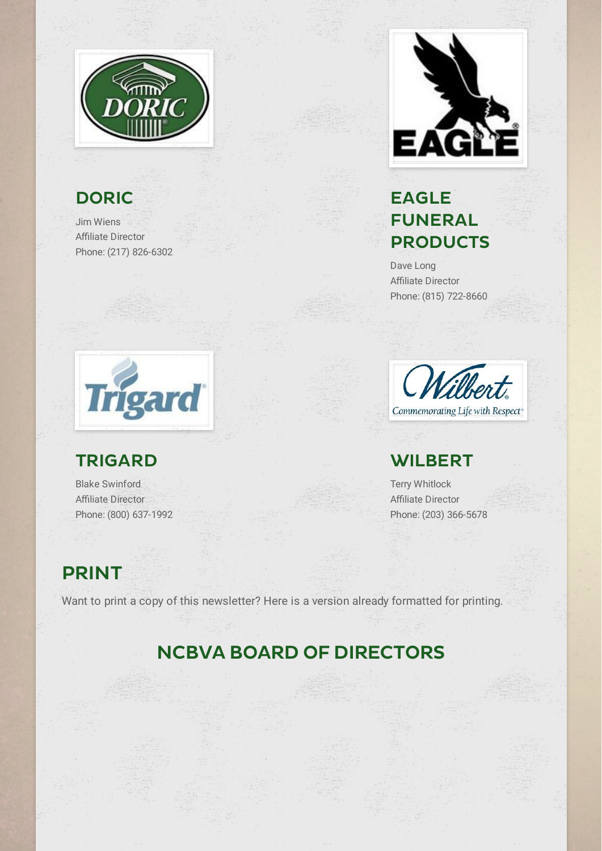

# **DORIC**

Jim Wiens Affiliate Director Phone: (217) 826-6302



#### EAGLE FUNERAL **PRODUCTS**

Dave Long **Affiliate Director** Phone: (815) 722-8660



#### TRIGARD

Blake Swinford Affiliate Director Phone: (800) 637-1992



#### **WILBERT**

Terry Whitlock **Affiliate Director** Phone: (203) 366-5678

## PRINT

Want to print a copy of this newsletter? Here is a version already formatted for printing.

# NCBVA BOARD OF DIRECTORS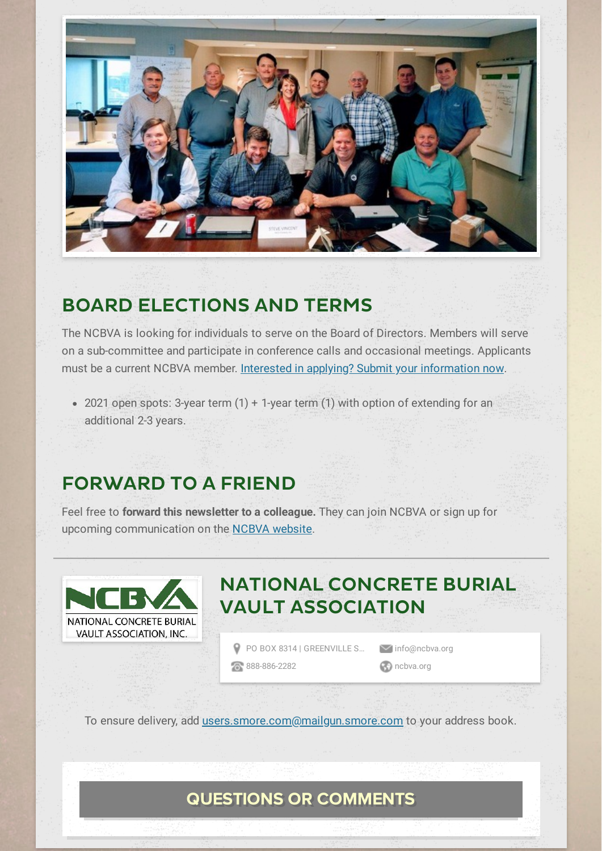

#### BOARD ELECTIONS AND TERMS

The NCBVA is looking for individuals to serve on the Board of Directors. Members will serve on a sub-committee and participate in conference calls and occasional meetings. Applicants must be a current NCBVA member. Interested in applying? Submit your [information](mailto:info@ncbva.org) now.

• 2021 open spots: 3-year term  $(1)$  + 1-year term  $(1)$  with option of extending for an additional 2-3 years.

#### FORWARD TO A FRIEND

Feel free to **forward this newsletter to a colleague.** They can join NCBVA or sign up for upcoming communication on the NCBVA [website.](http://www.ncbva.org/Contact)



## NATIONAL CONCRETE BURIAL VAULT ASSOCIATION

P PO BOX 8314 | [GREENVILLE](http://maps.google.com/maps?daddr=PO%20BOX%208314%20%7C%20GREENVILLE%20SC%2C%2029604&hl=en) S... v[info@ncbva.org](mailto:info@ncbva.org)

**[888-886-2282](tel:888-886-2282) [ncbva.org](http://www.ncbva.org/)** 

To ensure delivery, add [users.smore.com@mailgun.smore.com](mailto:users.smore.com@mailgun.smore.com) to your address book.

#### QUESTIONS OR COMMENTS